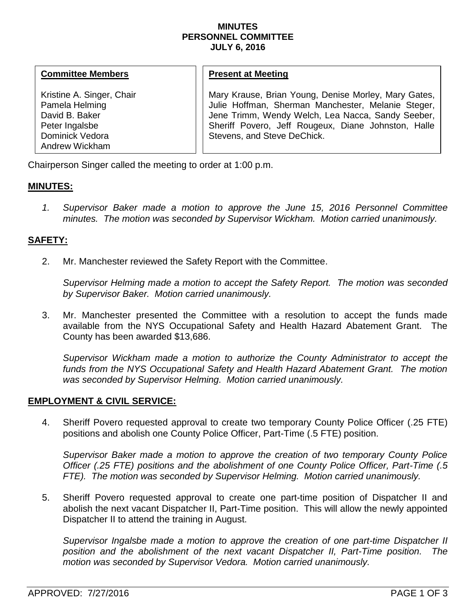### **MINUTES PERSONNEL COMMITTEE JULY 6, 2016**

### **Committee Members**

Kristine A. Singer, Chair Pamela Helming David B. Baker Peter Ingalsbe Dominick Vedora Andrew Wickham

# **Present at Meeting**

Mary Krause, Brian Young, Denise Morley, Mary Gates, Julie Hoffman, Sherman Manchester, Melanie Steger, Jene Trimm, Wendy Welch, Lea Nacca, Sandy Seeber, Sheriff Povero, Jeff Rougeux, Diane Johnston, Halle Stevens, and Steve DeChick.

Chairperson Singer called the meeting to order at 1:00 p.m.

# **MINUTES:**

*1. Supervisor Baker made a motion to approve the June 15, 2016 Personnel Committee minutes. The motion was seconded by Supervisor Wickham. Motion carried unanimously.*

# **SAFETY:**

2. Mr. Manchester reviewed the Safety Report with the Committee.

*Supervisor Helming made a motion to accept the Safety Report. The motion was seconded by Supervisor Baker. Motion carried unanimously.* 

3. Mr. Manchester presented the Committee with a resolution to accept the funds made available from the NYS Occupational Safety and Health Hazard Abatement Grant. The County has been awarded \$13,686.

*Supervisor Wickham made a motion to authorize the County Administrator to accept the*  funds from the NYS Occupational Safety and Health Hazard Abatement Grant. The motion *was seconded by Supervisor Helming. Motion carried unanimously.*

# **EMPLOYMENT & CIVIL SERVICE:**

4. Sheriff Povero requested approval to create two temporary County Police Officer (.25 FTE) positions and abolish one County Police Officer, Part-Time (.5 FTE) position.

*Supervisor Baker made a motion to approve the creation of two temporary County Police Officer (.25 FTE) positions and the abolishment of one County Police Officer, Part-Time (.5 FTE). The motion was seconded by Supervisor Helming. Motion carried unanimously.*

5. Sheriff Povero requested approval to create one part-time position of Dispatcher II and abolish the next vacant Dispatcher II, Part-Time position. This will allow the newly appointed Dispatcher II to attend the training in August.

*Supervisor Ingalsbe made a motion to approve the creation of one part-time Dispatcher II position and the abolishment of the next vacant Dispatcher II, Part-Time position. The motion was seconded by Supervisor Vedora. Motion carried unanimously.*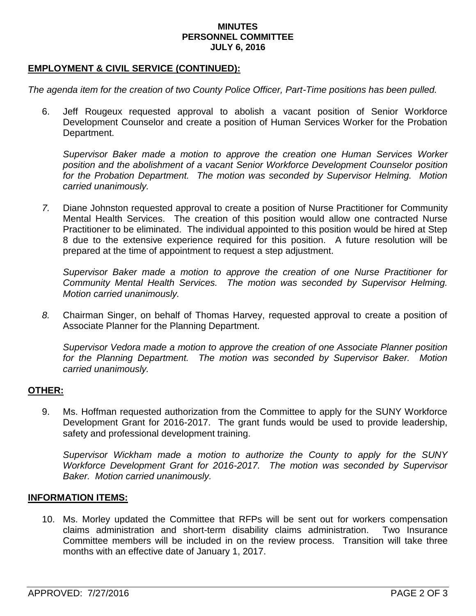### **MINUTES PERSONNEL COMMITTEE JULY 6, 2016**

### **EMPLOYMENT & CIVIL SERVICE (CONTINUED):**

*The agenda item for the creation of two County Police Officer, Part-Time positions has been pulled.*

6. Jeff Rougeux requested approval to abolish a vacant position of Senior Workforce Development Counselor and create a position of Human Services Worker for the Probation Department.

*Supervisor Baker made a motion to approve the creation one Human Services Worker position and the abolishment of a vacant Senior Workforce Development Counselor position*  for the Probation Department. The motion was seconded by Supervisor Helming. Motion *carried unanimously.*

*7.* Diane Johnston requested approval to create a position of Nurse Practitioner for Community Mental Health Services. The creation of this position would allow one contracted Nurse Practitioner to be eliminated. The individual appointed to this position would be hired at Step 8 due to the extensive experience required for this position. A future resolution will be prepared at the time of appointment to request a step adjustment.

*Supervisor Baker made a motion to approve the creation of one Nurse Practitioner for Community Mental Health Services. The motion was seconded by Supervisor Helming. Motion carried unanimously.*

*8.* Chairman Singer, on behalf of Thomas Harvey, requested approval to create a position of Associate Planner for the Planning Department.

*Supervisor Vedora made a motion to approve the creation of one Associate Planner position*  for the Planning Department. The motion was seconded by Supervisor Baker. Motion *carried unanimously.*

# **OTHER:**

9. Ms. Hoffman requested authorization from the Committee to apply for the SUNY Workforce Development Grant for 2016-2017. The grant funds would be used to provide leadership, safety and professional development training.

*Supervisor Wickham made a motion to authorize the County to apply for the SUNY Workforce Development Grant for 2016-2017. The motion was seconded by Supervisor Baker. Motion carried unanimously.* 

#### **INFORMATION ITEMS:**

10. Ms. Morley updated the Committee that RFPs will be sent out for workers compensation claims administration and short-term disability claims administration. Two Insurance Committee members will be included in on the review process. Transition will take three months with an effective date of January 1, 2017.